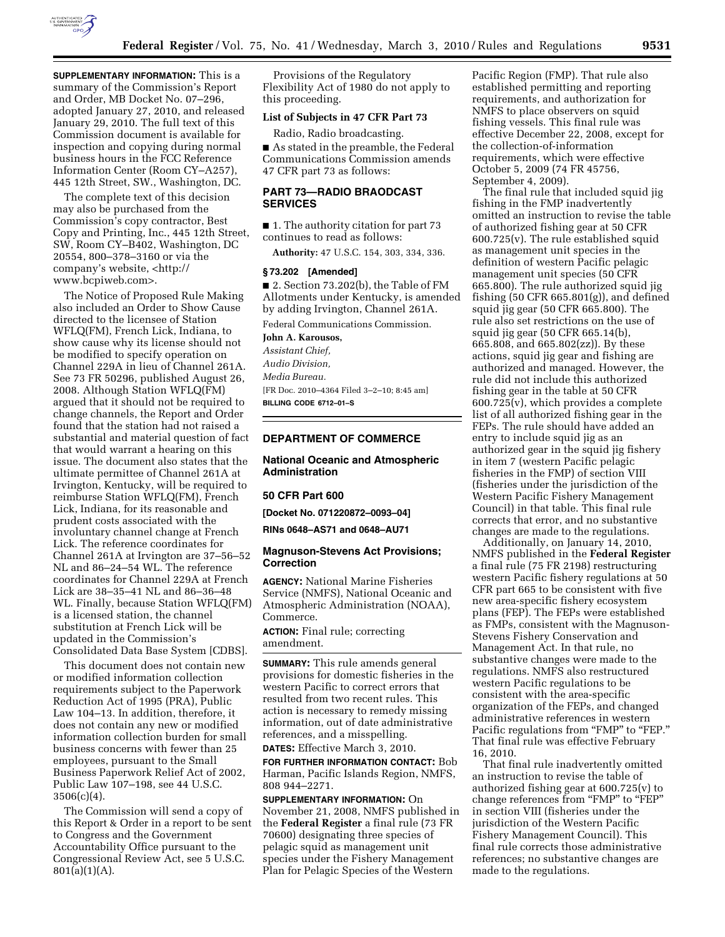

**SUPPLEMENTARY INFORMATION:** This is a summary of the Commission's Report and Order, MB Docket No. 07–296, adopted January 27, 2010, and released January 29, 2010. The full text of this Commission document is available for inspection and copying during normal business hours in the FCC Reference Information Center (Room CY–A257), 445 12th Street, SW., Washington, DC.

The complete text of this decision may also be purchased from the Commission's copy contractor, Best Copy and Printing, Inc., 445 12th Street, SW, Room CY–B402, Washington, DC 20554, 800–378–3160 or via the company's website, <http:// www.bcpiweb.com>.

The Notice of Proposed Rule Making also included an Order to Show Cause directed to the licensee of Station WFLQ(FM), French Lick, Indiana, to show cause why its license should not be modified to specify operation on Channel 229A in lieu of Channel 261A. See 73 FR 50296, published August 26, 2008. Although Station WFLQ(FM) argued that it should not be required to change channels, the Report and Order found that the station had not raised a substantial and material question of fact that would warrant a hearing on this issue. The document also states that the ultimate permittee of Channel 261A at Irvington, Kentucky, will be required to reimburse Station WFLQ(FM), French Lick, Indiana, for its reasonable and prudent costs associated with the involuntary channel change at French Lick. The reference coordinates for Channel 261A at Irvington are 37–56–52 NL and 86–24–54 WL. The reference coordinates for Channel 229A at French Lick are 38–35–41 NL and 86–36–48 WL. Finally, because Station WFLQ(FM) is a licensed station, the channel substitution at French Lick will be updated in the Commission's Consolidated Data Base System [CDBS].

This document does not contain new or modified information collection requirements subject to the Paperwork Reduction Act of 1995 (PRA), Public Law 104–13. In addition, therefore, it does not contain any new or modified information collection burden for small business concerns with fewer than 25 employees, pursuant to the Small Business Paperwork Relief Act of 2002, Public Law 107–198, see 44 U.S.C.  $3506(c)(4)$ .

The Commission will send a copy of this Report & Order in a report to be sent to Congress and the Government Accountability Office pursuant to the Congressional Review Act, see 5 U.S.C.  $801(a)(1)(A)$ .

Provisions of the Regulatory Flexibility Act of 1980 do not apply to this proceeding.

### **List of Subjects in 47 CFR Part 73**

Radio, Radio broadcasting.

■ As stated in the preamble, the Federal Communications Commission amends 47 CFR part 73 as follows:

## **PART 73—RADIO BRAODCAST SERVICES**

■ 1. The authority citation for part 73 continues to read as follows:

**Authority:** 47 U.S.C. 154, 303, 334, 336.

### **§ 73.202 [Amended]**

■ 2. Section 73.202(b), the Table of FM Allotments under Kentucky, is amended by adding Irvington, Channel 261A.

Federal Communications Commission. **John A. Karousos,** 

*Assistant Chief, Audio Division, Media Bureau.*  [FR Doc. 2010–4364 Filed 3–2–10; 8:45 am] **BILLING CODE 6712–01–S** 

#### **DEPARTMENT OF COMMERCE**

## **National Oceanic and Atmospheric Administration**

#### **50 CFR Part 600**

**[Docket No. 071220872–0093–04]** 

**RINs 0648–AS71 and 0648–AU71** 

## **Magnuson-Stevens Act Provisions; Correction**

**AGENCY:** National Marine Fisheries Service (NMFS), National Oceanic and Atmospheric Administration (NOAA), Commerce.

**ACTION:** Final rule; correcting amendment.

**SUMMARY:** This rule amends general provisions for domestic fisheries in the western Pacific to correct errors that resulted from two recent rules. This action is necessary to remedy missing information, out of date administrative references, and a misspelling.

# **DATES:** Effective March 3, 2010.

**FOR FURTHER INFORMATION CONTACT:** Bob Harman, Pacific Islands Region, NMFS, 808 944–2271.

**SUPPLEMENTARY INFORMATION:** On November 21, 2008, NMFS published in the **Federal Register** a final rule (73 FR 70600) designating three species of pelagic squid as management unit species under the Fishery Management Plan for Pelagic Species of the Western

Pacific Region (FMP). That rule also established permitting and reporting requirements, and authorization for NMFS to place observers on squid fishing vessels. This final rule was effective December 22, 2008, except for the collection-of-information requirements, which were effective October 5, 2009 (74 FR 45756, September 4, 2009).

The final rule that included squid jig fishing in the FMP inadvertently omitted an instruction to revise the table of authorized fishing gear at 50 CFR  $600.725(v)$ . The rule established squid as management unit species in the definition of western Pacific pelagic management unit species (50 CFR 665.800). The rule authorized squid jig fishing (50 CFR 665.801(g)), and defined squid jig gear (50 CFR 665.800). The rule also set restrictions on the use of squid jig gear (50 CFR 665.14(b), 665.808, and 665.802(zz)). By these actions, squid jig gear and fishing are authorized and managed. However, the rule did not include this authorized fishing gear in the table at 50 CFR 600.725(v), which provides a complete list of all authorized fishing gear in the FEPs. The rule should have added an entry to include squid jig as an authorized gear in the squid jig fishery in item 7 (western Pacific pelagic fisheries in the FMP) of section VIII (fisheries under the jurisdiction of the Western Pacific Fishery Management Council) in that table. This final rule corrects that error, and no substantive changes are made to the regulations.

Additionally, on January 14, 2010, NMFS published in the **Federal Register**  a final rule (75 FR 2198) restructuring western Pacific fishery regulations at 50 CFR part 665 to be consistent with five new area-specific fishery ecosystem plans (FEP). The FEPs were established as FMPs, consistent with the Magnuson-Stevens Fishery Conservation and Management Act. In that rule, no substantive changes were made to the regulations. NMFS also restructured western Pacific regulations to be consistent with the area-specific organization of the FEPs, and changed administrative references in western Pacific regulations from "FMP" to "FEP." That final rule was effective February 16, 2010.

That final rule inadvertently omitted an instruction to revise the table of authorized fishing gear at 600.725(v) to change references from "FMP" to "FEP" in section VIII (fisheries under the jurisdiction of the Western Pacific Fishery Management Council). This final rule corrects those administrative references; no substantive changes are made to the regulations.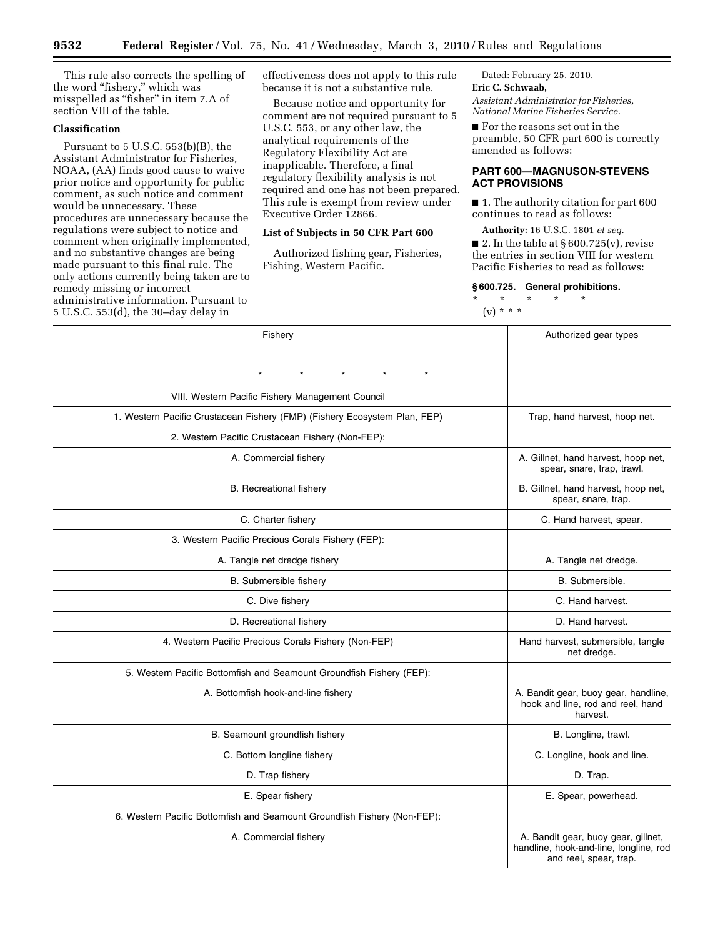This rule also corrects the spelling of the word "fishery," which was misspelled as ''fisher'' in item 7.A of section VIII of the table.

# **Classification**

Pursuant to 5 U.S.C. 553(b)(B), the Assistant Administrator for Fisheries, NOAA, (AA) finds good cause to waive prior notice and opportunity for public comment, as such notice and comment would be unnecessary. These procedures are unnecessary because the regulations were subject to notice and comment when originally implemented, and no substantive changes are being made pursuant to this final rule. The only actions currently being taken are to remedy missing or incorrect administrative information. Pursuant to 5 U.S.C. 553(d), the 30–day delay in

effectiveness does not apply to this rule because it is not a substantive rule.

Because notice and opportunity for comment are not required pursuant to 5 U.S.C. 553, or any other law, the analytical requirements of the Regulatory Flexibility Act are inapplicable. Therefore, a final regulatory flexibility analysis is not required and one has not been prepared. This rule is exempt from review under Executive Order 12866.

# **List of Subjects in 50 CFR Part 600**

Authorized fishing gear, Fisheries, Fishing, Western Pacific.

Dated: February 25, 2010.

**Eric C. Schwaab,**  *Assistant Administrator for Fisheries, National Marine Fisheries Service.* 

■ For the reasons set out in the preamble, 50 CFR part 600 is correctly amended as follows:

# **PART 600—MAGNUSON-STEVENS ACT PROVISIONS**

■ 1. The authority citation for part 600 continues to read as follows:

**Authority:** 16 U.S.C. 1801 *et seq.*  ■ 2. In the table at §  $600.725(v)$ , revise the entries in section VIII for western Pacific Fisheries to read as follows:

#### **§ 600.725. General prohibitions.**

\* \* \* \* \* (v) \* \* \*

| Fishery                                                                   | Authorized gear types                                                                                   |
|---------------------------------------------------------------------------|---------------------------------------------------------------------------------------------------------|
|                                                                           |                                                                                                         |
| $\star$<br>$\star$<br>$\star$                                             |                                                                                                         |
| VIII. Western Pacific Fishery Management Council                          |                                                                                                         |
| 1. Western Pacific Crustacean Fishery (FMP) (Fishery Ecosystem Plan, FEP) | Trap, hand harvest, hoop net.                                                                           |
| 2. Western Pacific Crustacean Fishery (Non-FEP):                          |                                                                                                         |
| A. Commercial fishery                                                     | A. Gillnet, hand harvest, hoop net,<br>spear, snare, trap, trawl.                                       |
| <b>B.</b> Recreational fishery                                            | B. Gillnet, hand harvest, hoop net,<br>spear, snare, trap.                                              |
| C. Charter fishery                                                        | C. Hand harvest, spear.                                                                                 |
| 3. Western Pacific Precious Corals Fishery (FEP):                         |                                                                                                         |
| A. Tangle net dredge fishery                                              | A. Tangle net dredge.                                                                                   |
| B. Submersible fishery                                                    | B. Submersible.                                                                                         |
| C. Dive fishery                                                           | C. Hand harvest.                                                                                        |
| D. Recreational fishery                                                   | D. Hand harvest.                                                                                        |
| 4. Western Pacific Precious Corals Fishery (Non-FEP)                      | Hand harvest, submersible, tangle<br>net dredge.                                                        |
| 5. Western Pacific Bottomfish and Seamount Groundfish Fishery (FEP):      |                                                                                                         |
| A. Bottomfish hook-and-line fishery                                       | A. Bandit gear, buoy gear, handline,<br>hook and line, rod and reel, hand<br>harvest.                   |
| B. Seamount groundfish fishery                                            | B. Longline, trawl.                                                                                     |
| C. Bottom longline fishery                                                | C. Longline, hook and line.                                                                             |
| D. Trap fishery                                                           | D. Trap.                                                                                                |
| E. Spear fishery                                                          | E. Spear, powerhead.                                                                                    |
| 6. Western Pacific Bottomfish and Seamount Groundfish Fishery (Non-FEP):  |                                                                                                         |
| A. Commercial fishery                                                     | A. Bandit gear, buoy gear, gillnet,<br>handline, hook-and-line, longline, rod<br>and reel, spear, trap. |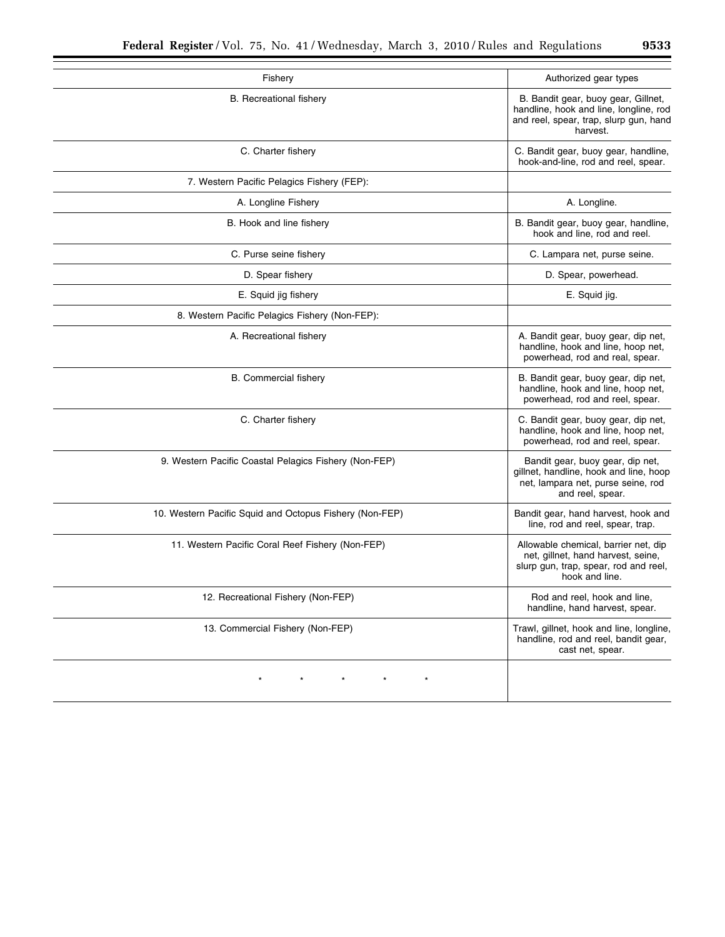| Fishery                                                 | Authorized gear types                                                                                                                 |
|---------------------------------------------------------|---------------------------------------------------------------------------------------------------------------------------------------|
| B. Recreational fishery                                 | B. Bandit gear, buoy gear, Gillnet,<br>handline, hook and line, longline, rod<br>and reel, spear, trap, slurp gun, hand<br>harvest.   |
| C. Charter fishery                                      | C. Bandit gear, buoy gear, handline,<br>hook-and-line, rod and reel, spear.                                                           |
| 7. Western Pacific Pelagics Fishery (FEP):              |                                                                                                                                       |
| A. Longline Fishery                                     | A. Longline.                                                                                                                          |
| B. Hook and line fishery                                | B. Bandit gear, buoy gear, handline,<br>hook and line, rod and reel.                                                                  |
| C. Purse seine fishery                                  | C. Lampara net, purse seine.                                                                                                          |
| D. Spear fishery                                        | D. Spear, powerhead.                                                                                                                  |
| E. Squid jig fishery                                    | E. Squid jig.                                                                                                                         |
| 8. Western Pacific Pelagics Fishery (Non-FEP):          |                                                                                                                                       |
| A. Recreational fishery                                 | A. Bandit gear, buoy gear, dip net,<br>handline, hook and line, hoop net,<br>powerhead, rod and real, spear.                          |
| <b>B.</b> Commercial fishery                            | B. Bandit gear, buoy gear, dip net,<br>handline, hook and line, hoop net,<br>powerhead, rod and reel, spear.                          |
| C. Charter fishery                                      | C. Bandit gear, buoy gear, dip net,<br>handline, hook and line, hoop net,<br>powerhead, rod and reel, spear.                          |
| 9. Western Pacific Coastal Pelagics Fishery (Non-FEP)   | Bandit gear, buoy gear, dip net,<br>gillnet, handline, hook and line, hoop<br>net, lampara net, purse seine, rod<br>and reel, spear.  |
| 10. Western Pacific Squid and Octopus Fishery (Non-FEP) | Bandit gear, hand harvest, hook and<br>line, rod and reel, spear, trap.                                                               |
| 11. Western Pacific Coral Reef Fishery (Non-FEP)        | Allowable chemical, barrier net, dip<br>net, gillnet, hand harvest, seine,<br>slurp gun, trap, spear, rod and reel,<br>hook and line. |
| 12. Recreational Fishery (Non-FEP)                      | Rod and reel, hook and line,<br>handline, hand harvest, spear.                                                                        |
| 13. Commercial Fishery (Non-FEP)                        | Trawl, gillnet, hook and line, longline,<br>handline, rod and reel, bandit gear,<br>cast net, spear.                                  |
|                                                         |                                                                                                                                       |